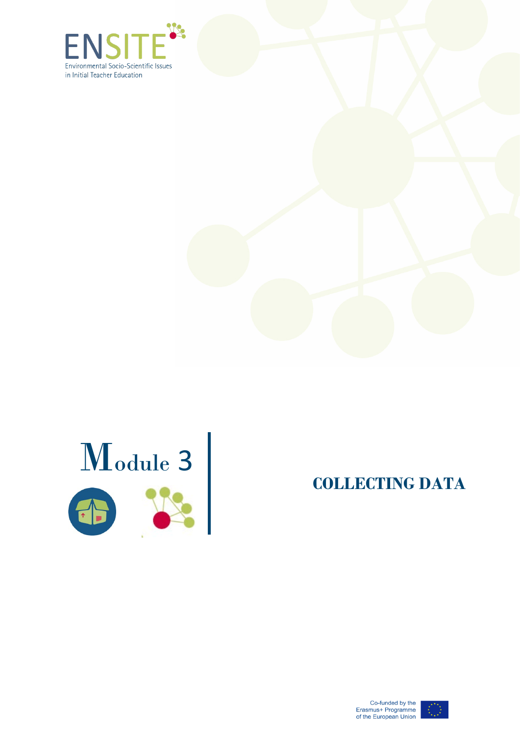





**COLLECTING DATA** 

Co-funded by the<br>Erasmus+ Programme<br>of the European Union

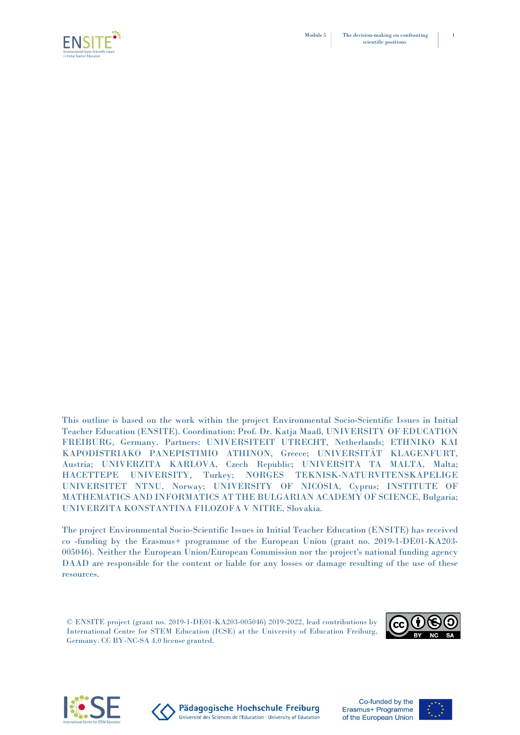

This outline is based on the work within the project Environmental Socio-Scientific Issues in Initial Teacher Education (ENSITE). Coordination: Prof. Dr. Katja Maaß, UNIVERSITY OF EDUCATION FREIBURG, Germany. Partners: UNIVERSITEIT UTRECHT, Netherlands; ETHNIKO KAI KAPODISTRIAKO PANEPISTIMIO ATHINON, Greece; UNIVERSITÄT KLAGENFURT, Austria; UNIVERZITA KARLOVA, Czech Republic; UNIVERSITA TA MALTA, Malta; HACETTEPE UNIVERSITY, Turkey; NORGES TEKNISK-NATURVITENSKAPELIGE UNIVERSITET NTNU, Norway; UNIVERSITY OF NICOSIA, Cyprus; INSTITUTE OF MATHEMATICS AND INFORMATICS AT THE BULGARIAN ACADEMY OF SCIENCE, Bulgaria; UNIVERZITA KONSTANTINA FILOZOFA V NITRE, Slovakia.

The project Environmental Socio-Scientific Issues in Initial Teacher Education (ENSITE) has received co -funding by the Erasmus+ programme of the European Union (grant no. 2019-1-DE01-KA203- 005046). Neither the European Union/European Commission nor the project's national funding agency DAAD are responsible for the content or liable for any losses or damage resulting of the use of these resources.

© ENSITE project (grant no. 2019-1-DE01-KA203-005046) 2019-2022, lead contributions by International Centre for STEM Education (ICSE) at the University of Education Freiburg, Germany. CC BY-NC-SA 4.0 license granted.







Pädagogische Hochschule Freiburg Université des Sciences de l'Education · University of Education

Co-funded by the Erasmus+ Programme of the European Union

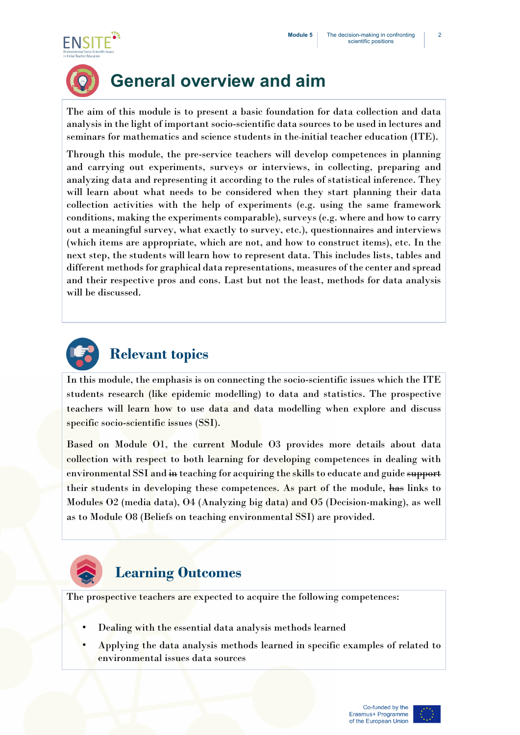



# **General overview and aim**

The aim of this module is to present a basic foundation for data collection and data analysis in the light of important socio-scientific data sources to be used in lectures and seminars for mathematics and science students in the initial teacher education (ITE).

Through this module, the pre-service teachers will develop competences in planning and carrying out experiments, surveys or interviews, in collecting, preparing and analyzing data and representing it according to the rules of statistical inference. They will learn about what needs to be considered when they start planning their data collection activities with the help of experiments (e.g. using the same framework conditions, making the experiments comparable), surveys (e.g. where and how to carry out a meaningful survey, what exactly to survey, etc.), questionnaires and interviews (which items are appropriate, which are not, and how to construct items), etc. In the next step, the students will learn how to represent data. This includes lists, tables and different methods for graphical data representations, measures of the center and spread and their respective pros and cons. Last but not the least, methods for data analysis will be discussed.



In this module, the emphasis is on connecting the socio-scientific issues which the ITE students research (like epidemic modelling) to data and statistics. The prospective teachers will learn how to use data and data modelling when explore and discuss specific socio-scientific issues (SSI).

Based on Module O1, the current Module O3 provides more details about data collection with respect to both learning for developing competences in dealing with environmental SSI and in teaching for acquiring the skills to educate and guide support their students in developing these competences. As part of the module, has links to Modules O2 (media data), O4 (Analyzing big data) and O5 (Decision-making), as well as to Module O8 (Beliefs on teaching environmental SSI) are provided.



## **Learning Outcomes**

The prospective teachers are expected to acquire the following competences:

- Dealing with the essential data analysis methods learned
- Applying the data analysis methods learned in specific examples of related to environmental issues data sources

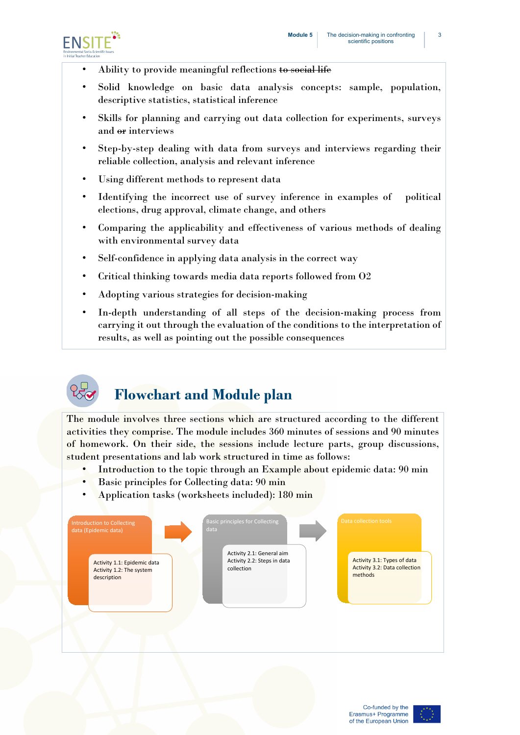

- Ability to provide meaningful reflections to social life
- Solid knowledge on basic data analysis concepts: sample, population, descriptive statistics, statistical inference
- Skills for planning and carrying out data collection for experiments, surveys and or interviews
- Step-by-step dealing with data from surveys and interviews regarding their reliable collection, analysis and relevant inference
- Using different methods to represent data
- Identifying the incorrect use of survey inference in examples of political elections, drug approval, climate change, and others
- Comparing the applicability and effectiveness of various methods of dealing with environmental survey data
- Self-confidence in applying data analysis in the correct way
- Critical thinking towards media data reports followed from O2
- Adopting various strategies for decision-making
- In-depth understanding of all steps of the decision-making process from carrying it out through the evaluation of the conditions to the interpretation of results, as well as pointing out the possible consequences



# **Flowchart and Module plan**

The module involves three sections which are structured according to the different activities they comprise. The module includes 360 minutes of sessions and 90 minutes of homework. On their side, the sessions include lecture parts, group discussions, student presentations and lab work structured in time as follows:

- Introduction to the topic through an Example about epidemic data: 90 min
- Basic principles for Collecting data: 90 min
- Application tasks (worksheets included): 180 min



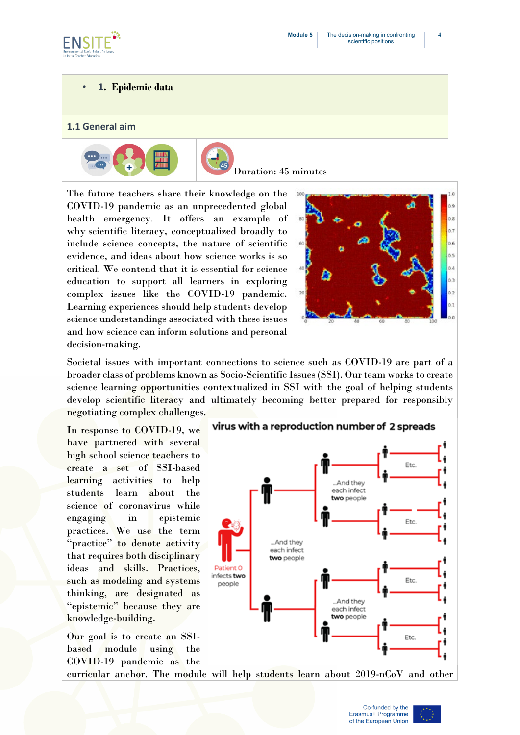

#### • **1. Epidemic data**

#### **1.1 General aim**



![](_page_4_Picture_6.jpeg)

Duration: 45 minutes

The future teachers share their knowledge on the COVID-19 pandemic as an unprecedented global health emergency. It offers an example of why scientific literacy, conceptualized broadly to include science concepts, the nature of scientific evidence, and ideas about how science works is so critical. We contend that it is essential for science education to support all learners in exploring complex issues like the COVID-19 pandemic. Learning experiences should help students develop science understandings associated with these issues and how science can inform solutions and personal decision-making.

![](_page_4_Picture_9.jpeg)

Societal issues with important connections to science such as COVID-19 are part of a broader class of problems known as Socio-Scientific Issues (SSI). Our team works to create science learning opportunities contextualized in SSI with the goal of helping students develop scientific literacy and ultimately becoming better prepared for responsibly negotiating complex challenges.

In response to COVID-19, we have partnered with several high school science teachers to create a set of SSI-based learning activities to help students learn about the science of coronavirus while engaging in epistemic practices. We use the term "practice" to denote activity that requires both disciplinary ideas and skills. Practices, such as modeling and systems thinking, are designated as "epistemic" because they are knowledge-building.

Our goal is to create an SSIbased module using the COVID-19 pandemic as the

virus with a reproduction number of 2 spreads

![](_page_4_Figure_14.jpeg)

curricular anchor. The module will help students learn about 2019-nCoV and other

![](_page_4_Picture_18.jpeg)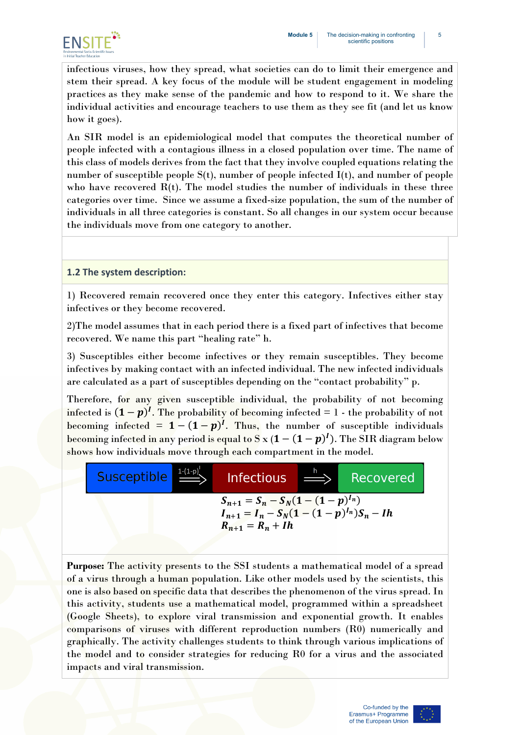![](_page_5_Picture_1.jpeg)

infectious viruses, how they spread, what societies can do to limit their emergence and stem their spread. A key focus of the module will be student engagement in modeling practices as they make sense of the pandemic and how to respond to it. We share the individual activities and encourage teachers to use them as they see fit (and let us know how it goes).

An SIR model is an epidemiological model that computes the theoretical number of people infected with a contagious illness in a closed population over time. The name of this class of models derives from the fact that they involve coupled equations relating the number of susceptible people  $S(t)$ , number of people infected  $I(t)$ , and number of people who have recovered  $R(t)$ . The model studies the number of individuals in these three categories over time. Since we assume a fixed-size population, the sum of the number of individuals in all three categories is constant. So all changes in our system occur because the individuals move from one category to another.

#### **1.2 The system description:**

1) Recovered remain recovered once they enter this category. Infectives either stay infectives or they become recovered.

2)The model assumes that in each period there is a fixed part of infectives that become recovered. We name this part "healing rate" h.

3) Susceptibles either become infectives or they remain susceptibles. They become infectives by making contact with an infected individual. The new infected individuals are calculated as a part of susceptibles depending on the "contact probability" p.

Therefore, for any given susceptible individual, the probability of not becoming infected is  $(1-p)^l$ . The probability of becoming infected = 1 - the probability of not becoming infected =  $1 - (1 - p)^l$ . Thus, the number of susceptible individuals becoming infected in any period is equal to S  $x(1-(1-p)^l)$ . The SIR diagram below shows how individuals move through each compartment in the model.

![](_page_5_Figure_9.jpeg)

**Purpose:** The activity presents to the SSI students a mathematical model of a spread of a virus through a human population. Like other models used by the scientists, this one is also based on specific data that describes the phenomenon of the virus spread. In this activity, students use a mathematical model, programmed within a spreadsheet (Google Sheets), to explore viral transmission and exponential growth. It enables comparisons of viruses with different reproduction numbers (R0) numerically and graphically. The activity challenges students to think through various implications of the model and to consider strategies for reducing R0 for a virus and the associated impacts and viral transmission.

![](_page_5_Picture_12.jpeg)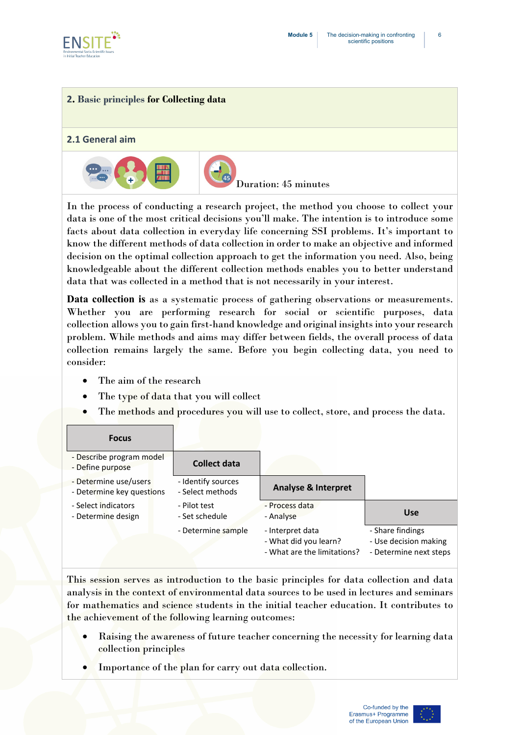![](_page_6_Picture_0.jpeg)

#### **2. Basic principles for Collecting data**

#### **2.1 General aim**

![](_page_6_Picture_4.jpeg)

In the process of conducting a research project, the method you choose to collect your data is one of the most critical decisions you'll make. The intention is to introduce some facts about data collection in everyday life concerning SSI problems. It's important to know the different methods of data collection in order to make an objective and informed decision on the optimal collection approach to get the information you need. Also, being knowledgeable about the different collection methods enables you to better understand data that was collected in a method that is not necessarily in your interest.

**Data collection is** as a systematic process of gathering observations or measurements. Whether you are performing research for social or scientific purposes, data collection allows you to gain first-hand knowledge and original insights into your research problem. While methods and aims may differ between fields, the overall process of data collection remains largely the same. Before you begin collecting data, you need to consider:

- The aim of the research
- The type of data that you will collect
- The methods and procedures you will use to collect, store, and process the data.

#### **Focus**

| - Describe program model<br>- Define purpose       | <b>Collect data</b>                    |                                                                          |                                                                     |
|----------------------------------------------------|----------------------------------------|--------------------------------------------------------------------------|---------------------------------------------------------------------|
| - Determine use/users<br>- Determine key questions | - Identify sources<br>- Select methods | <b>Analyse &amp; Interpret</b>                                           |                                                                     |
| - Select indicators<br>- Determine design          | - Pilot test<br>- Set schedule         | - Process data<br>- Analyse                                              | <b>Use</b>                                                          |
|                                                    | - Determine sample                     | - Interpret data<br>- What did you learn?<br>- What are the limitations? | - Share findings<br>- Use decision making<br>- Determine next steps |

This session serves as introduction to the basic principles for data collection and data analysis in the context of environmental data sources to be used in lectures and seminars for mathematics and science students in the initial teacher education. It contributes to the achievement of the following learning outcomes:

- Raising the awareness of future teacher concerning the necessity for learning data collection principles
- Importance of the plan for carry out data collection.

![](_page_6_Picture_16.jpeg)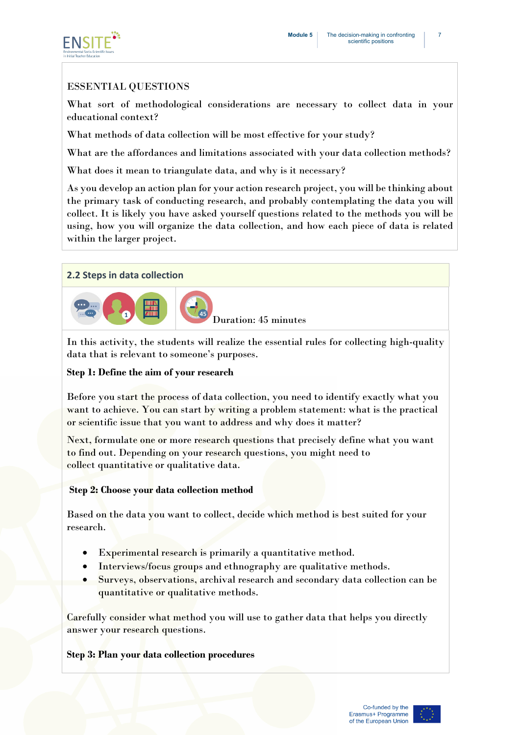![](_page_7_Picture_1.jpeg)

#### ESSENTIAL QUESTIONS

What sort of methodological considerations are necessary to collect data in your educational context?

What methods of data collection will be most effective for your study?

What are the affordances and limitations associated with your data collection methods?

What does it mean to triangulate data, and why is it necessary?

As you develop an action plan for your action research project, you will be thinking about the primary task of conducting research, and probably contemplating the data you will collect. It is likely you have asked yourself questions related to the methods you will be using, how you will organize the data collection, and how each piece of data is related within the larger project.

#### **2.2 Steps in data collection**

![](_page_7_Picture_9.jpeg)

In this activity, the students will realize the essential rules for collecting high-quality data that is relevant to someone's purposes.

#### **Step 1: Define the aim of your research**

Before you start the process of data collection, you need to identify exactly what you want to achieve. You can start by writing a [problem statement:](https://www.scribbr.com/research-process/problem-statement/) what is the practical or scientific issue that you want to address and why does it matter?

Next, formulate one or more [research questions](https://www.scribbr.com/research-process/research-questions/) that precisely define what you want to find out. Depending on your research questions, you might need to collect [quantitative or qualitative data.](https://www.scribbr.com/methodology/qualitative-quantitative-research/)

#### **Step 2: Choose your data collection method**

Based on the data you want to collect, decide which method is best suited for your research.

- Experimental research is primarily a quantitative method.
- Interviews/focus groups and ethnography are qualitative methods.
- Surveys, observations, archival research and secondary data collection can be quantitative or qualitative methods.

Carefully consider what method you will use to gather data that helps you directly answer your research questions.

#### **Step 3: Plan your data collection procedures**

![](_page_7_Picture_22.jpeg)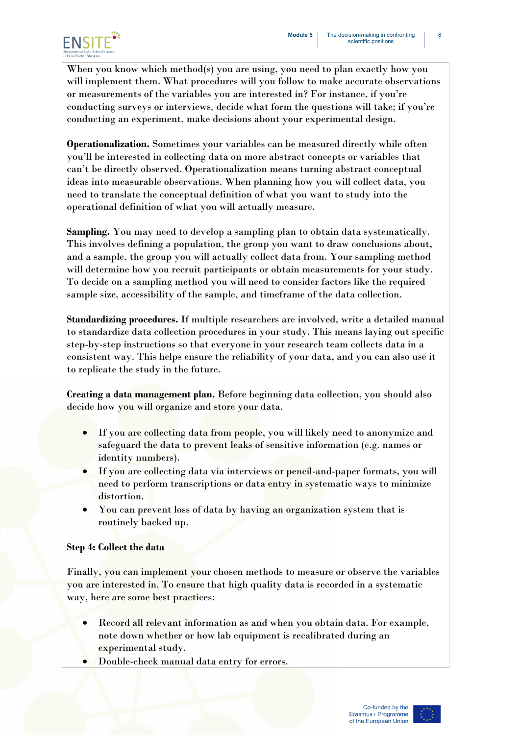![](_page_8_Picture_1.jpeg)

When you know which method(s) you are using, you need to plan exactly how you will implement them. What procedures will you follow to make accurate observations or measurements of the variables you are interested in? For instance, if you're conducting surveys or interviews, decide what form the questions will take; if you're conducting an experiment, make decisions about your experimental design.

**Operationalization.** Sometimes your variables can be measured directly while often you'll be interested in collecting data on more abstract concepts or variables that can't be directly observed. Operationalization means turning abstract conceptual ideas into measurable observations. When planning how you will collect data, you need to translate the conceptual definition of what you want to study into the operational definition of what you will actually measure.

**Sampling.** You may need to develop a sampling plan to obtain data systematically. This involves defining a population, the group you want to draw conclusions about, and a sample, the group you will actually collect data from. Your sampling method will determine how you recruit participants or obtain measurements for your study. To decide on a sampling method you will need to consider factors like the required sample size, accessibility of the sample, and timeframe of the data collection.

**Standardizing procedures.** If multiple researchers are involved, write a detailed manual to standardize data collection procedures in your study. This means laying out specific step-by-step instructions so that everyone in your research team collects data in a consistent way. This helps ensure the [reliability](https://www.scribbr.com/methodology/types-of-reliability/) of your data, and you can also use it to replicate the study in the future.

**Creating a data management plan.** Before beginning data collection, you should also decide how you will organize and store your data.

- If you are collecting data from people, you will likely need to anonymize and safeguard the data to prevent leaks of sensitive information (e.g. names or identity numbers).
- If you are collecting data via interviews or pencil-and-paper formats, you will need to perform [transcriptions](https://www.scribbr.com/methodology/transcribe-interview/) or data entry in systematic ways to minimize distortion.
- You can prevent loss of data by having an organization system that is routinely backed up.

#### **Step 4: Collect the data**

Finally, you can implement your chosen methods to measure or observe the variables you are interested in. To ensure that high quality data is recorded in a systematic way, here are some best practices:

- Record all relevant information as and when you obtain data. For example, note down whether or how lab equipment is recalibrated during an experimental study.
- Double-check manual data entry for errors.

![](_page_8_Picture_15.jpeg)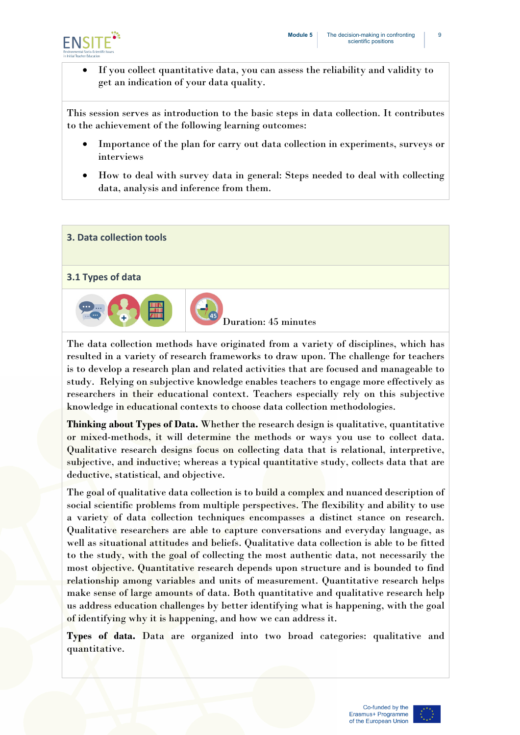![](_page_9_Picture_1.jpeg)

• If you collect quantitative data, you can assess the [reliability and validity](https://www.scribbr.com/methodology/reliability-vs-validity/) to get an indication of your data quality.

This session serves as introduction to the basic steps in data collection. It contributes to the achievement of the following learning outcomes:

- Importance of the plan for carry out data collection in experiments, surveys or interviews
- How to deal with survey data in general: Steps needed to deal with collecting data, analysis and inference from them.

# **3. Data collection tools 3.1 Types of data**  Duration: 45 minutes

The data collection methods have originated from a variety of disciplines, which has resulted in a variety of research frameworks to draw upon. The challenge for teachers is to develop a research plan and related activities that are focused and manageable to study. Relying on subjective knowledge enables teachers to engage more effectively as researchers in their educational context. Teachers especially rely on this subjective knowledge in educational contexts to choose data collection methodologies.

**Thinking about Types of Data.** Whether the research design is qualitative, quantitative or mixed-methods, it will determine the methods or ways you use to collect data. Qualitative research designs focus on collecting data that is relational, interpretive, subjective, and inductive; whereas a typical quantitative study, collects data that are deductive, statistical, and objective.

The goal of qualitative data collection is to build a complex and nuanced description of social scientific problems from multiple perspectives. The flexibility and ability to use a variety of data collection techniques encompasses a distinct stance on research. Qualitative researchers are able to capture conversations and everyday language, as well as situational attitudes and beliefs. Qualitative data collection is able to be fitted to the study, with the goal of collecting the most authentic data, not necessarily the most objective. Quantitative research depends upon structure and is bounded to find relationship among variables and units of measurement. Quantitative research helps make sense of large amounts of data. Both quantitative and qualitative research help us address education challenges by better identifying what is happening, with the goal of identifying why it is happening, and how we can address it.

**Types of data.** Data are organized into two broad categories: qualitative and quantitative.

![](_page_9_Picture_12.jpeg)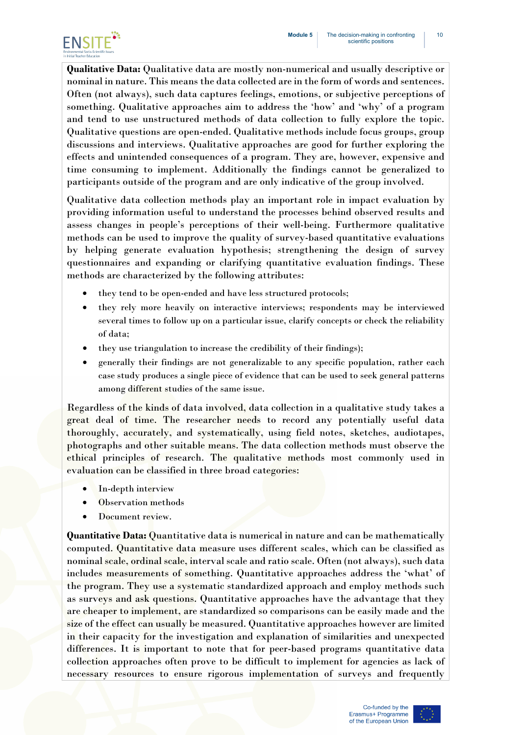![](_page_10_Picture_1.jpeg)

**Qualitative Data:** Qualitative data are mostly non-numerical and usually descriptive or nominal in nature. This means the data collected are in the form of words and sentences. Often (not always), such data captures feelings, emotions, or subjective perceptions of something. Qualitative approaches aim to address the 'how' and 'why' of a program and tend to use unstructured methods of data collection to fully explore the topic. Qualitative questions are open-ended. Qualitative methods include focus groups, group discussions and interviews. Qualitative approaches are good for further exploring the effects and unintended consequences of a program. They are, however, expensive and time consuming to implement. Additionally the findings cannot be generalized to participants outside of the program and are only indicative of the group involved.

Qualitative data collection methods play an important role in impact evaluation by providing information useful to understand the processes behind observed results and assess changes in people's perceptions of their well-being. Furthermore qualitative methods can be used to improve the quality of survey-based quantitative evaluations by helping generate evaluation hypothesis; strengthening the design of survey questionnaires and expanding or clarifying quantitative evaluation findings. These methods are characterized by the following attributes:

- they tend to be open-ended and have less structured protocols;
- they rely more heavily on interactive interviews; respondents may be interviewed several times to follow up on a particular issue, clarify concepts or check the reliability of data;
- they use triangulation to increase the credibility of their findings);
- generally their findings are not generalizable to any specific population, rather each case study produces a single piece of evidence that can be used to seek general patterns among different studies of the same issue.

Regardless of the kinds of data involved, data collection in a qualitative study takes a great deal of time. The researcher needs to record any potentially useful data thoroughly, accurately, and systematically, using field notes, sketches, audiotapes, photographs and other suitable means. The data collection methods must observe the ethical principles of research. The qualitative methods most commonly used in evaluation can be classified in three broad categories:

- In-depth interview
- Observation methods
- Document review.

**Quantitative Data:** Quantitative data is numerical in nature and can be mathematically computed. Quantitative data measure uses different scales, which can be classified as nominal scale, ordinal scale, interval scale and ratio scale. Often (not always), such data includes measurements of something. Quantitative approaches address the 'what' of the program. They use a systematic standardized approach and employ methods such as surveys and ask questions. Quantitative approaches have the advantage that they are cheaper to implement, are standardized so comparisons can be easily made and the size of the effect can usually be measured. Quantitative approaches however are limited in their capacity for the investigation and explanation of similarities and unexpected differences. It is important to note that for peer-based programs quantitative data collection approaches often prove to be difficult to implement for agencies as lack of necessary resources to ensure rigorous implementation of surveys and frequently

![](_page_10_Picture_14.jpeg)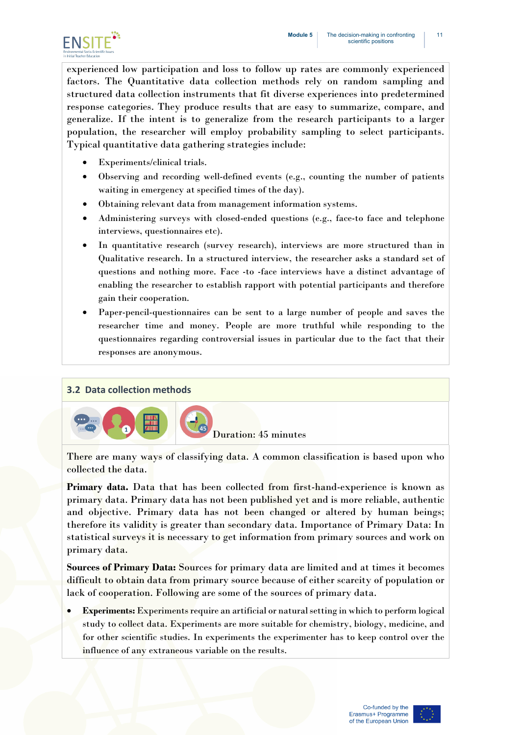![](_page_11_Picture_1.jpeg)

experienced low participation and loss to follow up rates are commonly experienced factors. The Quantitative data collection methods rely on random sampling and structured data collection instruments that fit diverse experiences into predetermined response categories. They produce results that are easy to summarize, compare, and generalize. If the intent is to generalize from the research participants to a larger population, the researcher will employ probability sampling to select participants. Typical quantitative data gathering strategies include:

- Experiments/clinical trials.
- Observing and recording well-defined events (e.g., counting the number of patients waiting in emergency at specified times of the day).
- Obtaining relevant data from management information systems.
- Administering surveys with closed-ended questions (e.g., face-to face and telephone interviews, questionnaires etc).
- In quantitative research (survey research), interviews are more structured than in Qualitative research. In a structured interview, the researcher asks a standard set of questions and nothing more. Face -to -face interviews have a distinct advantage of enabling the researcher to establish rapport with potential participants and therefore gain their cooperation.
- Paper-pencil-questionnaires can be sent to a large number of people and saves the researcher time and money. People are more truthful while responding to the questionnaires regarding controversial issues in particular due to the fact that their responses are anonymous.

#### **3.2 Data collection methods**

![](_page_11_Picture_10.jpeg)

There are many ways of classifying data. A common classification is based upon who collected the data.

**Primary data.** Data that has been collected from first-hand-experience is known as primary data. Primary data has not been published yet and is more reliable, authentic and objective. Primary data has not been changed or altered by human beings; therefore its validity is greater than secondary data. Importance of Primary Data: In statistical surveys it is necessary to get information from primary sources and work on primary data.

**Sources of Primary Data:** Sources for primary data are limited and at times it becomes difficult to obtain data from primary source because of either scarcity of population or lack of cooperation. Following are some of the sources of primary data.

• **Experiments:** Experiments require an artificial or natural setting in which to perform logical study to collect data. Experiments are more suitable for chemistry, biology, medicine, and for other scientific studies. In experiments the experimenter has to keep control over the influence of any extraneous variable on the results.

![](_page_11_Picture_16.jpeg)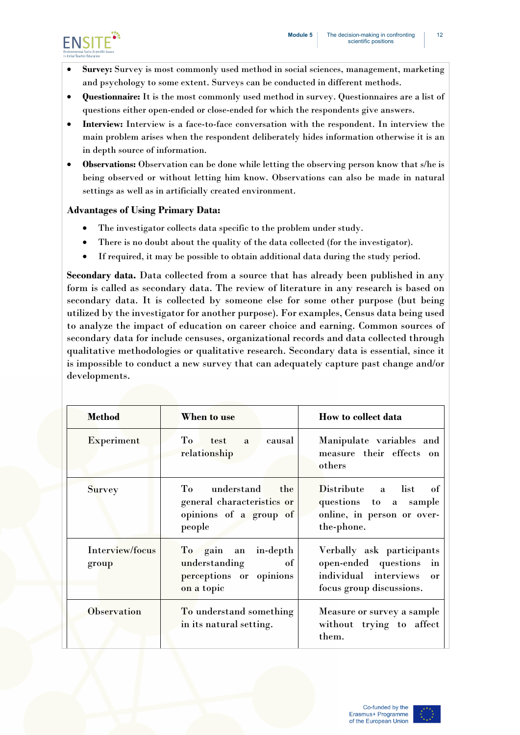![](_page_12_Picture_1.jpeg)

- **Survey:** Survey is most commonly used method in social sciences, management, marketing and psychology to some extent. Surveys can be conducted in different methods.
- **Questionnaire:** It is the most commonly used method in survey. Questionnaires are a list of questions either open-ended or close-ended for which the respondents give answers.
- **Interview:** Interview is a face-to-face conversation with the respondent. In interview the main problem arises when the respondent deliberately hides information otherwise it is an in depth source of information.
- **Observations:** Observation can be done while letting the observing person know that s/he is being observed or without letting him know. Observations can also be made in natural settings as well as in artificially created environment.

#### **Advantages of Using Primary Data:**

- The investigator collects data specific to the problem under study.
- There is no doubt about the quality of the data collected (for the investigator).
- If required, it may be possible to obtain additional data during the study period.

**Secondary data.** Data collected from a source that has already been published in any form is called as secondary data. The review of literature in any research is based on secondary data. It is collected by someone else for some other purpose (but being utilized by the investigator for another purpose). For examples, Census data being used to analyze the impact of education on career choice and earning. Common sources of secondary data for include censuses, organizational records and data collected through qualitative methodologies or qualitative research. Secondary data is essential, since it is impossible to conduct a new survey that can adequately capture past change and/or developments.

| <b>Method</b>            | When to use                                                                         | How to collect data                                                                                                   |
|--------------------------|-------------------------------------------------------------------------------------|-----------------------------------------------------------------------------------------------------------------------|
| <b>Experiment</b>        | To test<br>causal<br>a<br>relationship                                              | Manipulate variables and<br>measure their effects on<br>others                                                        |
| <b>Survey</b>            | To understand the<br>general characteristics or<br>opinions of a group of<br>people | Distribute a list<br>- of<br>questions to a sample<br>online, in person or over-<br>the-phone.                        |
| Interview/focus<br>group | To gain an in-depth<br>understanding<br>of<br>perceptions or opinions<br>on a topic | Verbally ask participants<br>open-ended questions in<br>individual interviews<br>$\alpha$<br>focus group discussions. |
| <b>Observation</b>       | To understand something<br>in its natural setting.                                  | Measure or survey a sample<br>without trying to affect<br>them.                                                       |

![](_page_12_Picture_13.jpeg)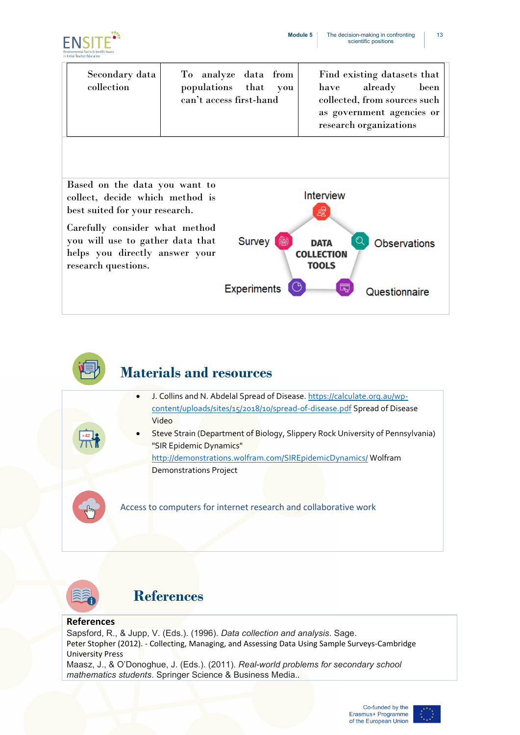![](_page_13_Picture_1.jpeg)

| Secondary data<br>collection | To analyze data from<br>populations that you<br>can't access first-hand | Find existing datasets that<br>already<br>been<br>have<br>collected, from sources such<br>as government agencies or<br>research organizations |
|------------------------------|-------------------------------------------------------------------------|-----------------------------------------------------------------------------------------------------------------------------------------------|
|------------------------------|-------------------------------------------------------------------------|-----------------------------------------------------------------------------------------------------------------------------------------------|

![](_page_13_Figure_3.jpeg)

![](_page_13_Picture_4.jpeg)

## **Materials and resources**

- J. Collins and N. Abdelal Spread of Disease. [https://calculate.org.au/wp](https://calculate.org.au/wp-content/uploads/sites/15/2018/10/spread-of-disease.pdf)[content/uploads/sites/15/2018/10/spread-of-disease.pdf](https://calculate.org.au/wp-content/uploads/sites/15/2018/10/spread-of-disease.pdf) Spread of Disease Video
- Steve Strain (Department of Biology, Slippery Rock University of Pennsylvania) "SIR Epidemic Dynamics" <http://demonstrations.wolfram.com/SIREpidemicDynamics/> Wolfram Demonstrations Project

Access to computers for internet research and collaborative work

![](_page_13_Picture_9.jpeg)

## **References**

#### **References**

Sapsford, R., & Jupp, V. (Eds.). (1996). *Data collection and analysis*. Sage. Peter Stopher (2012). - Collecting, Managing, and Assessing Data Using Sample Surveys-Cambridge University Press

Maasz, J., & O'Donoghue, J. (Eds.). (2011). *Real-world problems for secondary school mathematics students*. Springer Science & Business Media..

![](_page_13_Picture_15.jpeg)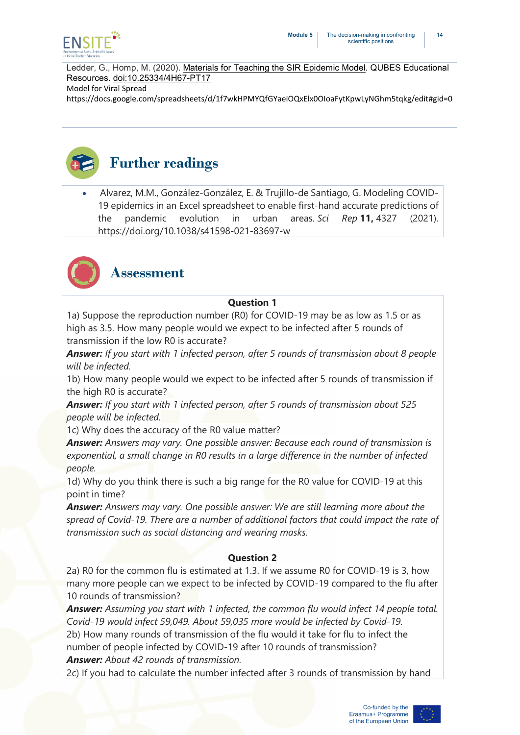![](_page_14_Picture_0.jpeg)

Ledder, G., Homp, M. (2020). Materials for Teaching the SIR [Epidemic](http://dx.doi.org/10.25334/4H67-PT17) Model. QUBES Educational Resources. [doi:10.25334/4H67-PT17](http://dx.doi.org/10.25334/4H67-PT17) Model for Viral Spread

https://docs.google.com/spreadsheets/d/1f7wkHPMYQfGYaeiOQxElx0OIoaFytKpwLyNGhm5tqkg/edit#gid=0

![](_page_14_Picture_4.jpeg)

• Alvarez, M.M., González-González, E. & Trujillo-de Santiago, G. Modeling COVID-19 epidemics in an Excel spreadsheet to enable first-hand accurate predictions of the pandemic evolution in urban areas. *Sci Rep* **11,** 4327 (2021). https://doi.org/10.1038/s41598-021-83697-w

![](_page_14_Picture_6.jpeg)

## **Assessment**

#### **Question 1**

1a) Suppose the reproduction number (R0) for COVID-19 may be as low as 1.5 or as high as 3.5. How many people would we expect to be infected after 5 rounds of transmission if the low R0 is accurate?

*Answer: If you start with 1 infected person, after 5 rounds of transmission about 8 people will be infected.*

1b) How many people would we expect to be infected after 5 rounds of transmission if the high R0 is accurate?

*Answer: If you start with 1 infected person, after 5 rounds of transmission about 525 people will be infected.*

1c) Why does the accuracy of the R0 value matter?

*Answer: Answers may vary. One possible answer: Because each round of transmission is exponential, a small change in R0 results in a large difference in the number of infected people.*

1d) Why do you think there is such a big range for the R0 value for COVID-19 at this point in time?

*Answer: Answers may vary. One possible answer: We are still learning more about the spread of Covid-19. There are a number of additional factors that could impact the rate of transmission such as social distancing and wearing masks.*

#### **Question 2**

2a) R0 for the common flu is estimated at 1.3. If we assume R0 for COVID-19 is 3, how many more people can we expect to be infected by COVID-19 compared to the flu after 10 rounds of transmission?

*Answer: Assuming you start with 1 infected, the common flu would infect 14 people total. Covid-19 would infect 59,049. About 59,035 more would be infected by Covid-19.*

2b) How many rounds of transmission of the flu would it take for flu to infect the number of people infected by COVID-19 after 10 rounds of transmission? *Answer: About 42 rounds of transmission.*

2c) If you had to calculate the number infected after 3 rounds of transmission by hand

![](_page_14_Picture_23.jpeg)